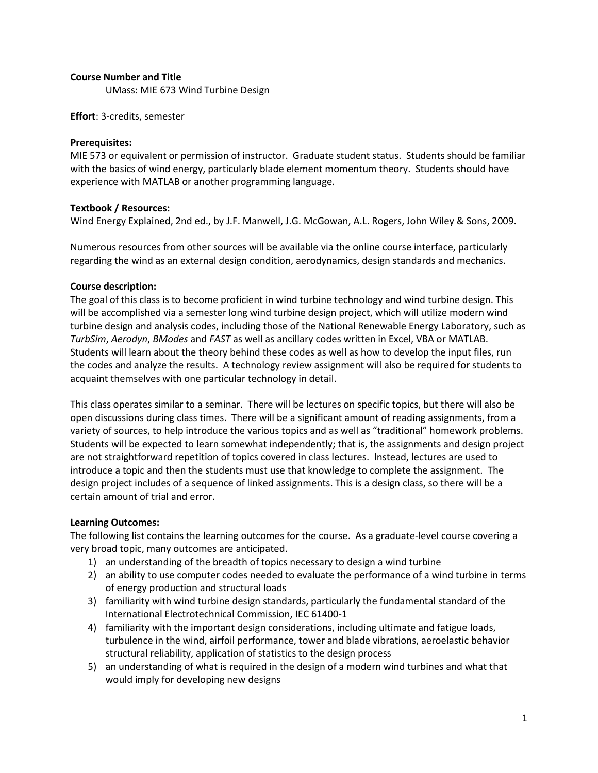## Course Number and Title

UMass: MIE 673 Wind Turbine Design

Effort: 3-credits, semester

## Prerequisites:

MIE 573 or equivalent or permission of instructor. Graduate student status. Students should be familiar with the basics of wind energy, particularly blade element momentum theory. Students should have experience with MATLAB or another programming language.

# Textbook / Resources:

Wind Energy Explained, 2nd ed., by J.F. Manwell, J.G. McGowan, A.L. Rogers, John Wiley & Sons, 2009.

Numerous resources from other sources will be available via the online course interface, particularly regarding the wind as an external design condition, aerodynamics, design standards and mechanics.

#### Course description:

The goal of this class is to become proficient in wind turbine technology and wind turbine design. This will be accomplished via a semester long wind turbine design project, which will utilize modern wind turbine design and analysis codes, including those of the National Renewable Energy Laboratory, such as TurbSim, Aerodyn, BModes and FAST as well as ancillary codes written in Excel, VBA or MATLAB. Students will learn about the theory behind these codes as well as how to develop the input files, run the codes and analyze the results. A technology review assignment will also be required for students to acquaint themselves with one particular technology in detail.

This class operates similar to a seminar. There will be lectures on specific topics, but there will also be open discussions during class times. There will be a significant amount of reading assignments, from a variety of sources, to help introduce the various topics and as well as "traditional" homework problems. Students will be expected to learn somewhat independently; that is, the assignments and design project are not straightforward repetition of topics covered in class lectures. Instead, lectures are used to introduce a topic and then the students must use that knowledge to complete the assignment. The design project includes of a sequence of linked assignments. This is a design class, so there will be a certain amount of trial and error.

# Learning Outcomes:

The following list contains the learning outcomes for the course. As a graduate-level course covering a very broad topic, many outcomes are anticipated.

- 1) an understanding of the breadth of topics necessary to design a wind turbine
- 2) an ability to use computer codes needed to evaluate the performance of a wind turbine in terms of energy production and structural loads
- 3) familiarity with wind turbine design standards, particularly the fundamental standard of the International Electrotechnical Commission, IEC 61400-1
- 4) familiarity with the important design considerations, including ultimate and fatigue loads, turbulence in the wind, airfoil performance, tower and blade vibrations, aeroelastic behavior structural reliability, application of statistics to the design process
- 5) an understanding of what is required in the design of a modern wind turbines and what that would imply for developing new designs